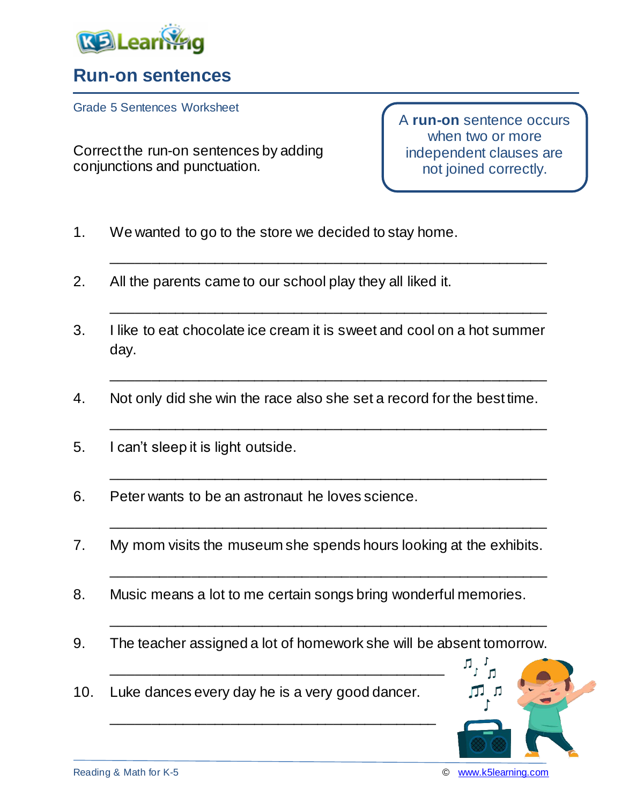

## **Run-on sentences**

Grade 5 Sentences Worksheet

Correct the run-on sentences by adding conjunctions and punctuation.

A **run-on** sentence occurs when two or more independent clauses are not joined correctly.

- 1. We wanted to go to the store we decided to stay home.
- 2. All the parents came to our school play they all liked it.
- 3. I like to eat chocolate ice cream it is sweet and cool on a hot summer day.

\_\_\_\_\_\_\_\_\_\_\_\_\_\_\_\_\_\_\_\_\_\_\_\_\_\_\_\_\_\_\_\_\_\_\_\_\_\_\_\_\_\_\_\_\_\_\_\_\_\_\_\_\_\_\_

\_\_\_\_\_\_\_\_\_\_\_\_\_\_\_\_\_\_\_\_\_\_\_\_\_\_\_\_\_\_\_\_\_\_\_\_\_\_\_\_\_\_\_\_\_\_\_\_\_\_\_\_\_\_\_

\_\_\_\_\_\_\_\_\_\_\_\_\_\_\_\_\_\_\_\_\_\_\_\_\_\_\_\_\_\_\_\_\_\_\_\_\_\_\_\_\_\_\_\_\_\_\_\_\_\_\_\_\_\_\_

\_\_\_\_\_\_\_\_\_\_\_\_\_\_\_\_\_\_\_\_\_\_\_\_\_\_\_\_\_\_\_\_\_\_\_\_\_\_\_\_\_\_\_\_\_\_\_\_\_\_\_\_\_\_\_

\_\_\_\_\_\_\_\_\_\_\_\_\_\_\_\_\_\_\_\_\_\_\_\_\_\_\_\_\_\_\_\_\_\_\_\_\_\_\_\_\_\_\_\_\_\_\_\_\_\_\_\_\_\_\_

\_\_\_\_\_\_\_\_\_\_\_\_\_\_\_\_\_\_\_\_\_\_\_\_\_\_\_\_\_\_\_\_\_\_\_\_\_\_\_\_\_\_\_\_\_\_\_\_\_\_\_\_\_\_\_

\_\_\_\_\_\_\_\_\_\_\_\_\_\_\_\_\_\_\_\_\_\_\_\_\_\_\_\_\_\_\_\_\_\_\_\_\_\_\_\_\_\_\_\_\_\_\_\_\_\_\_\_\_\_\_

\_\_\_\_\_\_\_\_\_\_\_\_\_\_\_\_\_\_\_\_\_\_\_\_\_\_\_\_\_\_\_\_\_\_\_\_\_\_\_\_\_\_\_\_\_\_\_\_\_\_\_\_\_\_\_

- 4. Not only did she win the race also she set a record for the best time.
- 5. I can't sleep it is light outside.
- 6. Peter wants to be an astronaut he loves science.
- 7. My mom visits the museum she spends hours looking at the exhibits.
- 8. Music means a lot to me certain songs bring wonderful memories.
- 9. The teacher assigned a lot of homework she will be absent tomorrow.
- 10. Luke dances every day he is a very good dancer.

\_\_\_\_\_\_\_\_\_\_\_\_\_\_\_\_\_\_\_\_\_\_\_\_\_\_\_\_\_\_\_\_\_\_\_\_\_\_\_\_\_\_

\_\_\_\_\_\_\_\_\_\_\_\_\_\_\_\_\_\_\_\_\_\_\_\_\_\_\_\_\_\_\_\_\_\_\_\_\_\_\_\_\_



л,

 $\mathsf{r}$